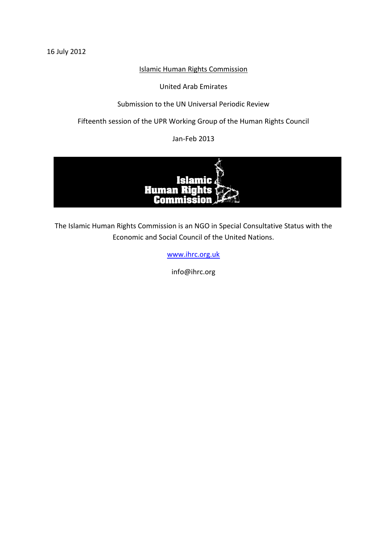16 July 2012

# Islamic Human Rights Commission

United Arab Emirates

Submission to the UN Universal Periodic Review

Fifteenth session of the UPR Working Group of the Human Rights Council

Jan-Feb 2013



The Islamic Human Rights Commission is an NGO in Special Consultative Status with the Economic and Social Council of the United Nations.

[www.ihrc.org.uk](http://www.ihrc.org.uk/)

info@ihrc.org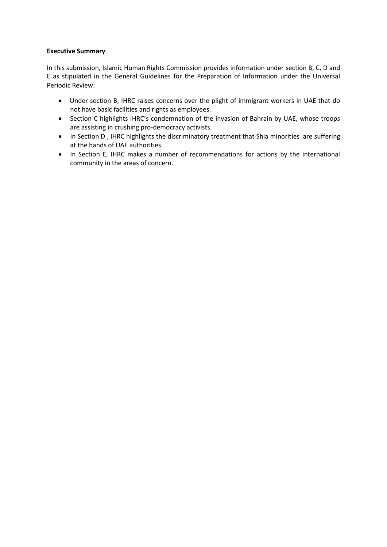### **Executive Summary**

In this submission, Islamic Human Rights Commission provides information under section B, C, D and E as stipulated in the General Guidelines for the Preparation of Information under the Universal Periodic Review:

- Under section B, IHRC raises concerns over the plight of immigrant workers in UAE that do not have basic facilities and rights as employees.
- Section C highlights IHRC's condemnation of the invasion of Bahrain by UAE, whose troops are assisting in crushing pro-democracy activists.
- In Section D, IHRC highlights the discriminatory treatment that Shia minorities are suffering at the hands of UAE authorities.
- In Section E, IHRC makes a number of recommendations for actions by the international community in the areas of concern.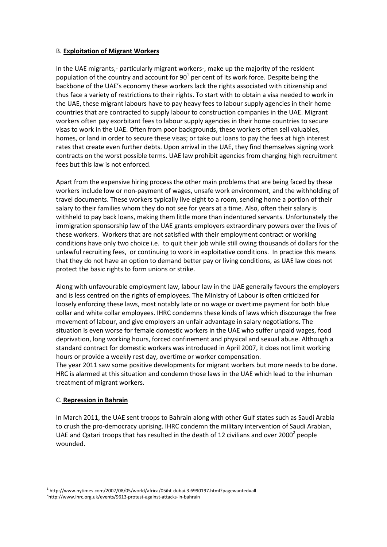### B. **Exploitation of Migrant Workers**

In the UAE migrants,- particularly migrant workers-, make up the majority of the resident population of the country and account for  $90^1$  per cent of its work force. Despite being the backbone of the UAE's economy these workers lack the rights associated with citizenship and thus face a variety of restrictions to their rights. To start with to obtain a visa needed to work in the UAE, these migrant labours have to pay heavy fees to labour supply agencies in their home countries that are contracted to supply labour to construction companies in the UAE. Migrant workers often pay exorbitant fees to labour supply agencies in their home countries to secure visas to work in the UAE. Often from poor backgrounds, these workers often sell valuables, homes, or land in order to secure these visas; or take out loans to pay the fees at high interest rates that create even further debts. Upon arrival in the UAE, they find themselves signing work contracts on the worst possible terms. UAE law prohibit agencies from charging high recruitment fees but this law is not enforced.

Apart from the expensive hiring process the other main problems that are being faced by these workers include low or non-payment of wages, unsafe work environment, and the withholding of travel documents. These workers typically live eight to a room, sending home a portion of their salary to their families whom they do not see for years at a time. Also, often their salary is withheld to pay back loans, making them little more than indentured servants. Unfortunately the immigration sponsorship law of the UAE grants employers extraordinary powers over the lives of these workers. Workers that are not satisfied with their employment contract or working conditions have only two choice i.e. to quit their job while still owing thousands of dollars for the unlawful recruiting fees, or continuing to work in exploitative conditions. In practice this means that they do not have an option to demand better pay or living conditions, as UAE law does not protect the basic rights to form unions or strike.

Along with unfavourable employment law, labour law in the UAE generally favours the employers and is less centred on the rights of employees. The Ministry of Labour is often criticized for loosely enforcing these laws, most notably late or no wage or overtime payment for both blue collar and white collar employees. IHRC condemns these kinds of laws which discourage the free movement of labour, and give employers an unfair advantage in salary negotiations. The situation is even worse for female domestic workers in the UAE who suffer unpaid wages, food deprivation, long working hours, forced confinement and physical and sexual abuse. Although a standard contract for domestic workers was introduced in April 2007, it does not limit working hours or provide a weekly rest day, overtime or worker compensation.

The year 2011 saw some positive developments for migrant workers but more needs to be done. HRC is alarmed at this situation and condemn those laws in the UAE which lead to the inhuman treatment of migrant workers.

## C. **Repression in Bahrain**

In March 2011, the UAE sent troops to Bahrain along with other Gulf states such as Saudi Arabia to crush the pro-democracy uprising. IHRC condemn the military intervention of Saudi Arabian, UAE and Qatari troops that has resulted in the death of 12 civilians and over 2000<sup>2</sup> people wounded.

<sup>1</sup> 1 http://www.nytimes.com/2007/08/05/world/africa/05iht-dubai.3.6990197.html?pagewanted=all 2 http://www.ihrc.org.uk/events/9613-protest-against-attacks-in-bahrain